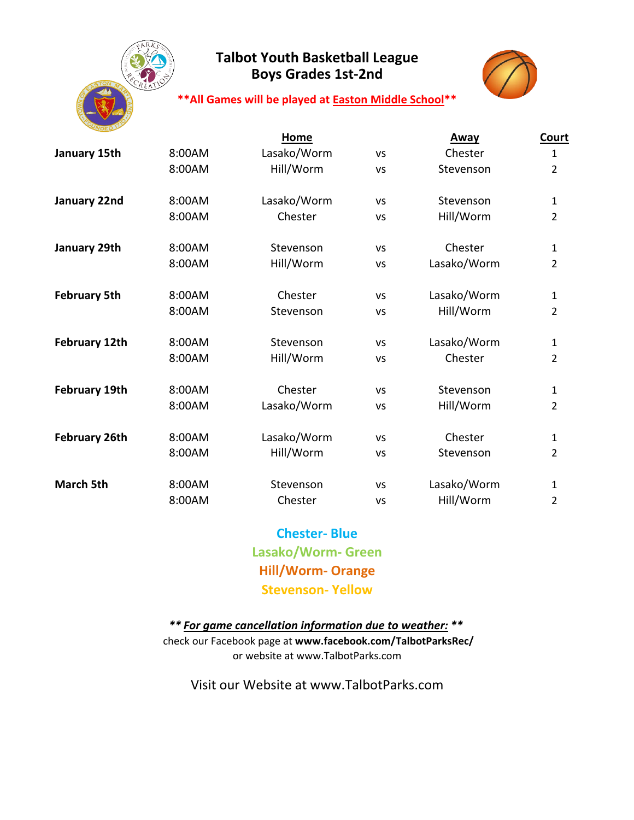

## **Talbot Youth Basketball League Boys Grades 1st-2nd**



## **\*\*All Games will be played at Easton Middle School\*\***

|                      |        | <b>Home</b> |           | Away        | <b>Court</b>   |
|----------------------|--------|-------------|-----------|-------------|----------------|
| January 15th         | 8:00AM | Lasako/Worm | VS        | Chester     | 1              |
|                      | 8:00AM | Hill/Worm   | VS        | Stevenson   | $\overline{2}$ |
| January 22nd         | 8:00AM | Lasako/Worm | VS        | Stevenson   | 1              |
|                      | 8:00AM | Chester     | VS        | Hill/Worm   | $\overline{2}$ |
| January 29th         | 8:00AM | Stevenson   | <b>VS</b> | Chester     | 1              |
|                      | 8:00AM | Hill/Worm   | VS        | Lasako/Worm | $\overline{2}$ |
| <b>February 5th</b>  | 8:00AM | Chester     | VS        | Lasako/Worm | 1              |
|                      | 8:00AM | Stevenson   | VS        | Hill/Worm   | $\overline{2}$ |
| <b>February 12th</b> | 8:00AM | Stevenson   | VS        | Lasako/Worm | 1              |
|                      | 8:00AM | Hill/Worm   | VS        | Chester     | $\overline{2}$ |
| <b>February 19th</b> | 8:00AM | Chester     | VS        | Stevenson   | 1              |
|                      | 8:00AM | Lasako/Worm | <b>VS</b> | Hill/Worm   | $\overline{2}$ |
| <b>February 26th</b> | 8:00AM | Lasako/Worm | VS        | Chester     | 1              |
|                      | 8:00AM | Hill/Worm   | <b>VS</b> | Stevenson   | $\overline{2}$ |
| <b>March 5th</b>     | 8:00AM | Stevenson   | VS        | Lasako/Worm | 1              |
|                      | 8:00AM | Chester     | VS        | Hill/Worm   | $\overline{2}$ |

**Stevenson- Yellow Chester- Blue Lasako/Worm- Green Hill/Worm- Orange**

 check our Facebook page at **www.facebook.com/TalbotParksRec/** or website at www.TalbotParks.com *\*\* For game cancellation information due to weather: \*\**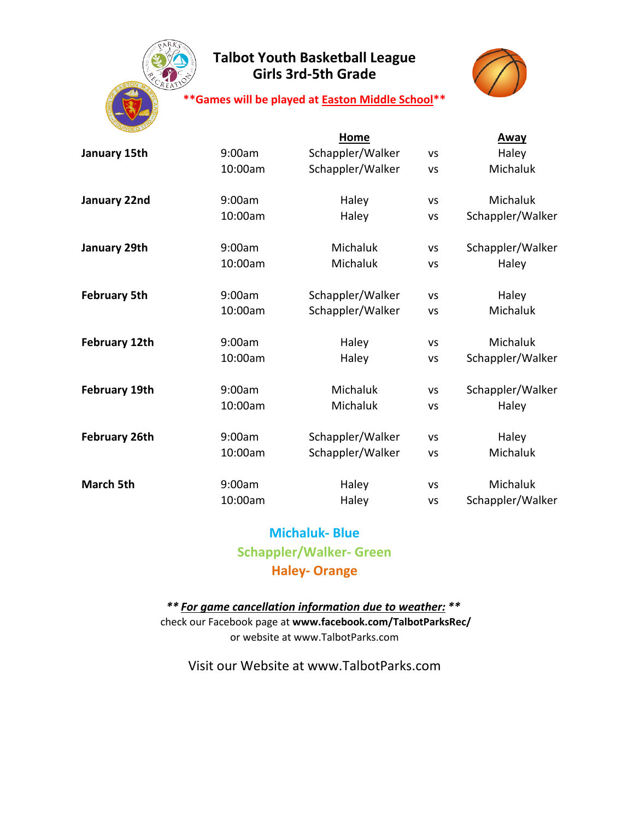

## **Talbot Youth Basketball League Girls 3rd-5th Grade**



#### **\*\*Games will be played at Easton Middle School\*\***

| WDED <sup>1</sup>    |         | Home             |           | <b>Away</b>      |
|----------------------|---------|------------------|-----------|------------------|
| January 15th         | 9:00am  | Schappler/Walker | VS        | Haley            |
|                      | 10:00am | Schappler/Walker | VS        | Michaluk         |
| January 22nd         | 9:00am  | Haley            | <b>VS</b> | Michaluk         |
|                      | 10:00am | Haley            | VS        | Schappler/Walker |
| January 29th         | 9:00am  | Michaluk         | VS        | Schappler/Walker |
|                      | 10:00am | Michaluk         | VS        | Haley            |
| <b>February 5th</b>  | 9:00am  | Schappler/Walker | VS        | Haley            |
|                      | 10:00am | Schappler/Walker | <b>VS</b> | Michaluk         |
| <b>February 12th</b> | 9:00am  | Haley            | VS        | Michaluk         |
|                      | 10:00am | Haley            | VS        | Schappler/Walker |
| <b>February 19th</b> | 9:00am  | Michaluk         | <b>VS</b> | Schappler/Walker |
|                      | 10:00am | Michaluk         | VS        | Haley            |
| <b>February 26th</b> | 9:00am  | Schappler/Walker | VS        | Haley            |
|                      | 10:00am | Schappler/Walker | VS        | Michaluk         |
| <b>March 5th</b>     | 9:00am  | Haley            | <b>VS</b> | Michaluk         |
|                      | 10:00am | Haley            | VS        | Schappler/Walker |

# **Schappler/Walker- Green Haley- Orange Michaluk- Blue**

or website at www.TalbotParks.com *\*\* For game cancellation information due to weather: \*\** check our Facebook page at **www.facebook.com/TalbotParksRec/**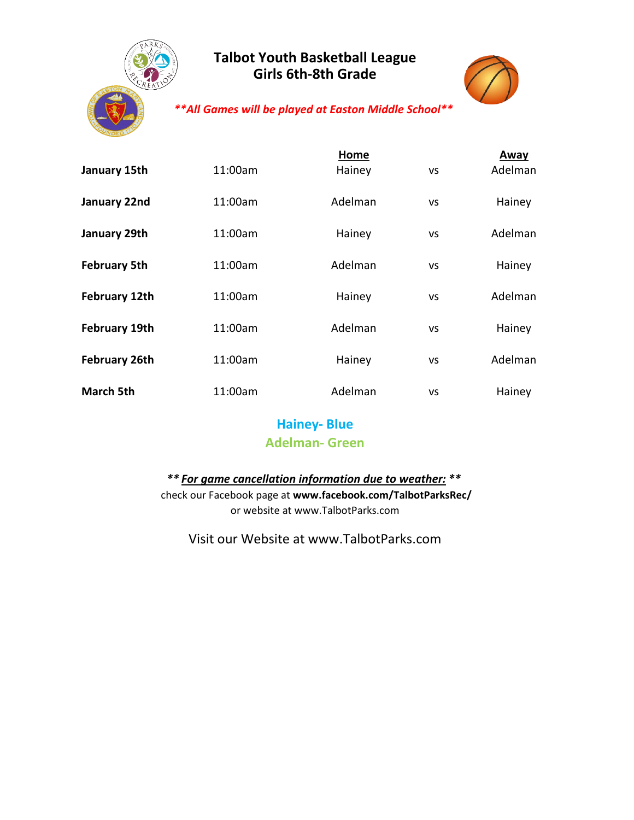

## **Talbot Youth Basketball League Girls 6th-8th Grade**



### *\*\*All Games will be played at Easton Middle School\*\**

|                      |         | Home    |           | <b>Away</b> |
|----------------------|---------|---------|-----------|-------------|
| January 15th         | 11:00am | Hainey  | <b>VS</b> | Adelman     |
| January 22nd         | 11:00am | Adelman | <b>VS</b> | Hainey      |
| January 29th         | 11:00am | Hainey  | <b>VS</b> | Adelman     |
| <b>February 5th</b>  | 11:00am | Adelman | <b>VS</b> | Hainey      |
| February 12th        | 11:00am | Hainey  | <b>VS</b> | Adelman     |
| <b>February 19th</b> | 11:00am | Adelman | <b>VS</b> | Hainey      |
| February 26th        | 11:00am | Hainey  | <b>VS</b> | Adelman     |
| <b>March 5th</b>     | 11:00am | Adelman | VS        | Hainey      |

## **Hainey- Blue**

#### **Adelman- Green**

## *\*\* For game cancellation information due to weather: \*\**

 check our Facebook page at **www.facebook.com/TalbotParksRec/** or website at www.TalbotParks.com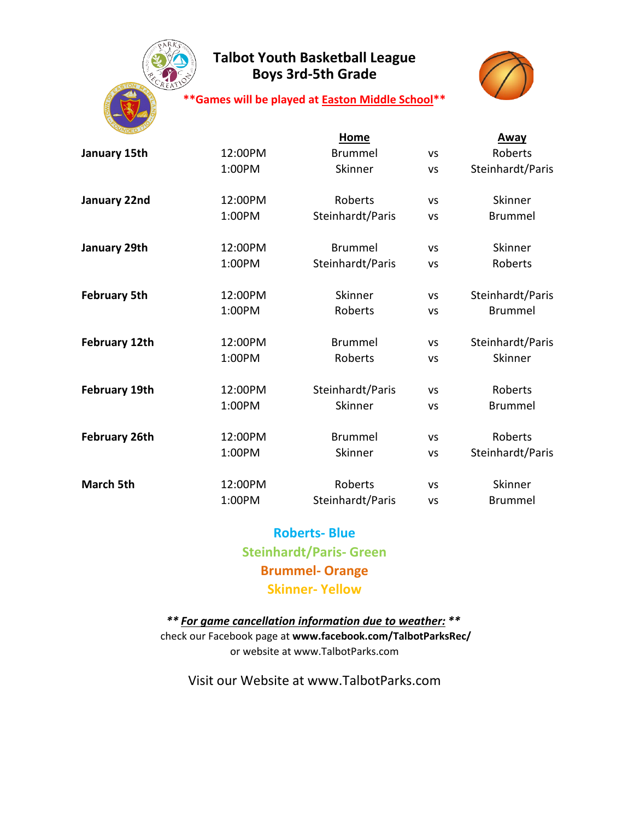

## **Talbot Youth Basketball League Boys 3rd-5th Grade**



## **\*\*Games will be played at Easton Middle School\*\***

| WDED                 |         | <b>Home</b>      |           | Away             |
|----------------------|---------|------------------|-----------|------------------|
| January 15th         | 12:00PM | <b>Brummel</b>   | <b>VS</b> | Roberts          |
|                      | 1:00PM  | Skinner          | <b>VS</b> | Steinhardt/Paris |
| January 22nd         | 12:00PM | <b>Roberts</b>   | <b>VS</b> | Skinner          |
|                      | 1:00PM  | Steinhardt/Paris | <b>VS</b> | <b>Brummel</b>   |
| January 29th         | 12:00PM | <b>Brummel</b>   | <b>VS</b> | Skinner          |
|                      | 1:00PM  | Steinhardt/Paris | VS        | Roberts          |
| <b>February 5th</b>  | 12:00PM | Skinner          | <b>VS</b> | Steinhardt/Paris |
|                      | 1:00PM  | Roberts          | <b>VS</b> | <b>Brummel</b>   |
| <b>February 12th</b> | 12:00PM | <b>Brummel</b>   | <b>VS</b> | Steinhardt/Paris |
|                      | 1:00PM  | Roberts          | <b>VS</b> | Skinner          |
| February 19th        | 12:00PM | Steinhardt/Paris | VS        | Roberts          |
|                      | 1:00PM  | Skinner          | <b>VS</b> | <b>Brummel</b>   |
| <b>February 26th</b> | 12:00PM | <b>Brummel</b>   | <b>VS</b> | Roberts          |
|                      | 1:00PM  | Skinner          | <b>VS</b> | Steinhardt/Paris |
| <b>March 5th</b>     | 12:00PM | <b>Roberts</b>   | VS        | Skinner          |
|                      | 1:00PM  | Steinhardt/Paris | VS        | <b>Brummel</b>   |

**Roberts- Blue Steinhardt/Paris- Green Brummel- Orange Skinner- Yellow**

or website at www.TalbotParks.com *\*\* For game cancellation information due to weather: \*\** check our Facebook page at **www.facebook.com/TalbotParksRec/**